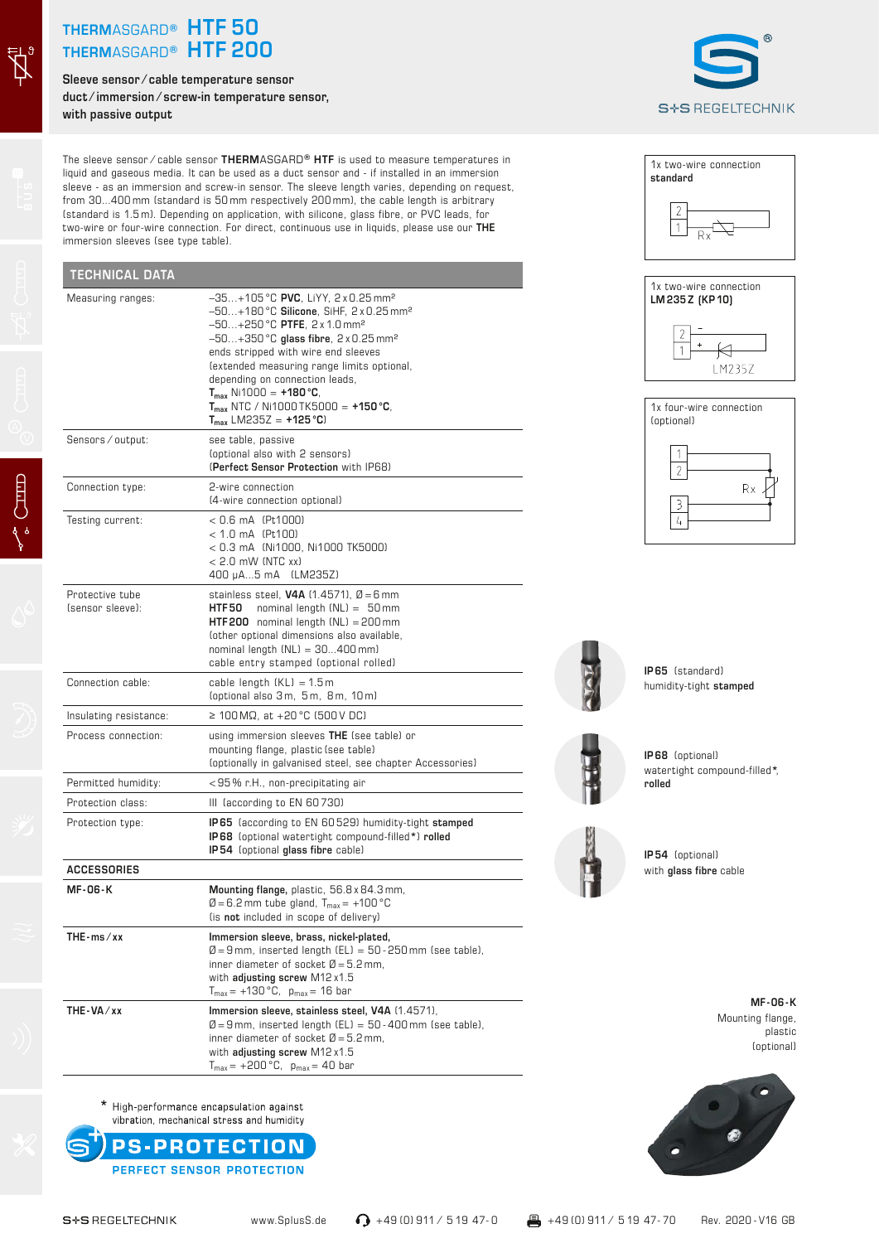## **THERM**ASGARD**® HTF 50 THERM**ASGARD**® HTF 200**

**Sleeve sensor ⁄ cable temperature sensor duct ⁄ immersion ⁄ screw-in temperature sensor, with passive output**



The sleeve sensor ⁄ cable sensor **THERM**ASGARD**® HTF** is used to measure temperatures in liquid and gaseous media. It can be used as a duct sensor and - if installed in an immersion sleeve - as an immersion and screw-in sensor. The sleeve length varies, depending on request, from 30...400 mm (standard is 50 mm respectively 200 mm), the cable length is arbitrary (standard is 1.5 m). Depending on application, with silicone, glass fibre, or PVC leads, for two-wire or four-wire connection. For direct, continuous use in liquids, please use our **THE** immersion sleeves (see type table).

| <b>TECHNICAL DATA</b>               |                                                                                                                                                                                                                                                                                                                                                                                                                                                     |
|-------------------------------------|-----------------------------------------------------------------------------------------------------------------------------------------------------------------------------------------------------------------------------------------------------------------------------------------------------------------------------------------------------------------------------------------------------------------------------------------------------|
| Measuring ranges:                   | -35+105 °C PVC, LiYY, 2 x 0.25 mm <sup>2</sup><br>$-50+180$ °C Silicone, SiHF, 2 x 0.25 mm <sup>2</sup><br>$-50+250$ °C PTFE, $2 \times 1.0$ mm <sup>2</sup><br>$-50+350$ °C glass fibre, 2 x 0.25 mm <sup>2</sup><br>ends stripped with wire end sleeves<br>(extended measuring range limits optional,<br>depending on connection leads,<br>$T_{max}$ Ni1000 = +180 °C,<br>$T_{max}$ NTC / Ni1000 TK5000 = +150 °C,<br>$T_{max}$ LM235Z = +125 °C) |
| Sensors / output:                   | see table, passive<br>(optional also with 2 sensors)<br>(Perfect Sensor Protection with IP68)                                                                                                                                                                                                                                                                                                                                                       |
| Connection type:                    | 2-wire connection<br>(4-wire connection optional)                                                                                                                                                                                                                                                                                                                                                                                                   |
| Testing current:                    | $< 0.6$ mA (Pt1000)<br>$< 1.0$ mA (Pt100)<br>< 0.3 mA (Ni1000, Ni1000 TK5000)<br>$< 2.0$ mW (NTC xx)<br>400 µA5 mA (LM235Z)                                                                                                                                                                                                                                                                                                                         |
| Protective tube<br>(sensor sleeve): | stainless steel, <b>V4A</b> $(1.4571)$ , $\emptyset = 6$ mm<br>HTF 50<br>nominal length $(NL) = 50$ mm<br>$HTF200$ nominal length $(NL) = 200$ mm<br>(other optional dimensions also available,<br>nominal length $(NL) = 30400$ mm)<br>cable entry stamped (optional rolled)                                                                                                                                                                       |
| Connection cable:                   | cable length $(KL) = 1.5m$<br>(optional also 3m, 5m, 8m, 10m)                                                                                                                                                                                                                                                                                                                                                                                       |
| Insulating resistance:              | ≥ 100 MΩ, at +20 °C (500 V DC)                                                                                                                                                                                                                                                                                                                                                                                                                      |
| Process connection:                 | using immersion sleeves THE (see table) or<br>mounting flange, plastic (see table)<br>(optionally in galvanised steel, see chapter Accessories)                                                                                                                                                                                                                                                                                                     |
| Permitted humidity:                 | <95% r.H., non-precipitating air                                                                                                                                                                                                                                                                                                                                                                                                                    |
| Protection class:                   | III (according to EN 60730)                                                                                                                                                                                                                                                                                                                                                                                                                         |
| Protection type:                    | <b>IP65</b> (according to EN 60529) humidity-tight stamped<br>IP68 (optional watertight compound-filled*) rolled<br>IP54 (optional glass fibre cable)                                                                                                                                                                                                                                                                                               |
| <b>ACCESSORIES</b>                  |                                                                                                                                                                                                                                                                                                                                                                                                                                                     |
| <b>MF-06-K</b>                      | Mounting flange, plastic, 56.8 x 84.3 mm,<br>$\varnothing$ = 6.2 mm tube gland, $T_{max}$ = +100 °C<br>(is not included in scope of delivery)                                                                                                                                                                                                                                                                                                       |
| $THE - ms / xx$                     | Immersion sleeve, brass, nickel-plated,<br>$\varnothing$ = 9 mm, inserted length (EL) = 50 - 250 mm (see table),<br>inner diameter of socket $\varnothing$ = 5.2 mm,<br>with adjusting screw $M12x1.5$<br>$T_{max} = +130 °C$ , $p_{max} = 16$ bar                                                                                                                                                                                                  |
| THE-VA/xx                           | Immersion sleeve, stainless steel, V4A (1.4571),<br>$\varnothing$ = 9 mm, inserted length (EL) = 50 - 400 mm (see table),<br>inner diameter of socket $\varnothing$ = 5.2 mm,<br>with adjusting screw M12 x1.5<br>$T_{max} = +200 °C$ , $p_{max} = 40$ bar                                                                                                                                                                                          |

**standard**  $\Box$ 1x two-wire connection **LM 235 Z (KP 10)**

1x two-wire connection







**IP 65** (standard) humidity-tight **stamped**



**IP 68** (optional) watertight compound-filled**\***, **rolled**

**IP 54** (optional) with **glass fibre** cable

**MF - 06 - K** Mounting flange, plastic (optional)

 $\vec{Z}^{\text{t}}$ 

\* High-performance encapsulation against

vibration, mechanical stress and humidity **PS-PROTECTION** PERFECT SENSOR PROTECTION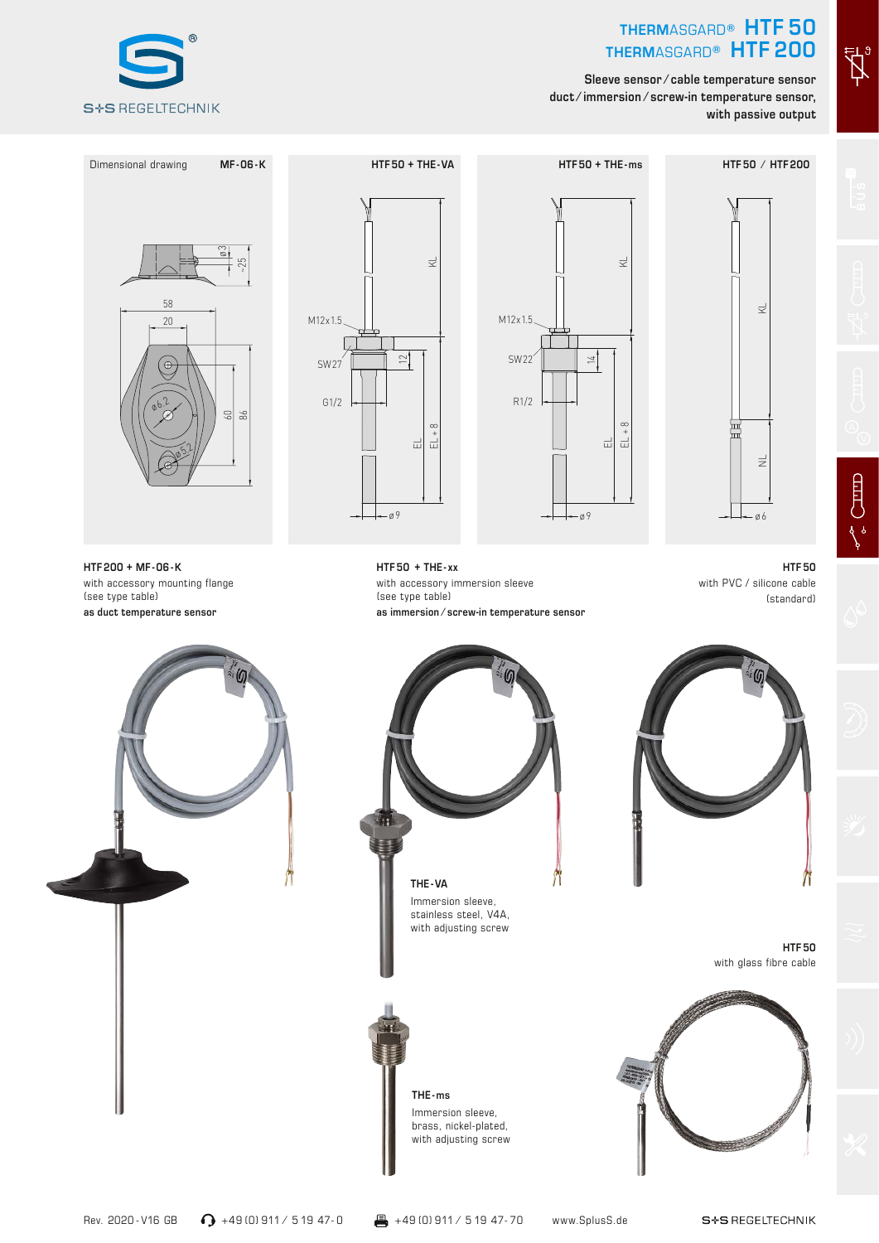## **THERM**ASGARD**® HTF 50 THERM**ASGARD**® HTF 200**

 $\vec{A}^{\mathfrak{s}}$ 

 $\begin{picture}(220,20) \put(0,0){\vector(0,1){10}} \put(15,0){\vector(0,1){10}} \put(15,0){\vector(0,1){10}} \put(15,0){\vector(0,1){10}} \put(15,0){\vector(0,1){10}} \put(15,0){\vector(0,1){10}} \put(15,0){\vector(0,1){10}} \put(15,0){\vector(0,1){10}} \put(15,0){\vector(0,1){10}} \put(15,0){\vector(0,1){10}} \put(15,0){\vector(0,1){10}} \put(15,0){\vector($ 

**Sleeve sensor ⁄ cable temperature sensor duct ⁄ immersion ⁄ screw-in temperature sensor, with passive output**











**THE - ms** Immersion sleeve, brass, nickel-plated, with adjusting screw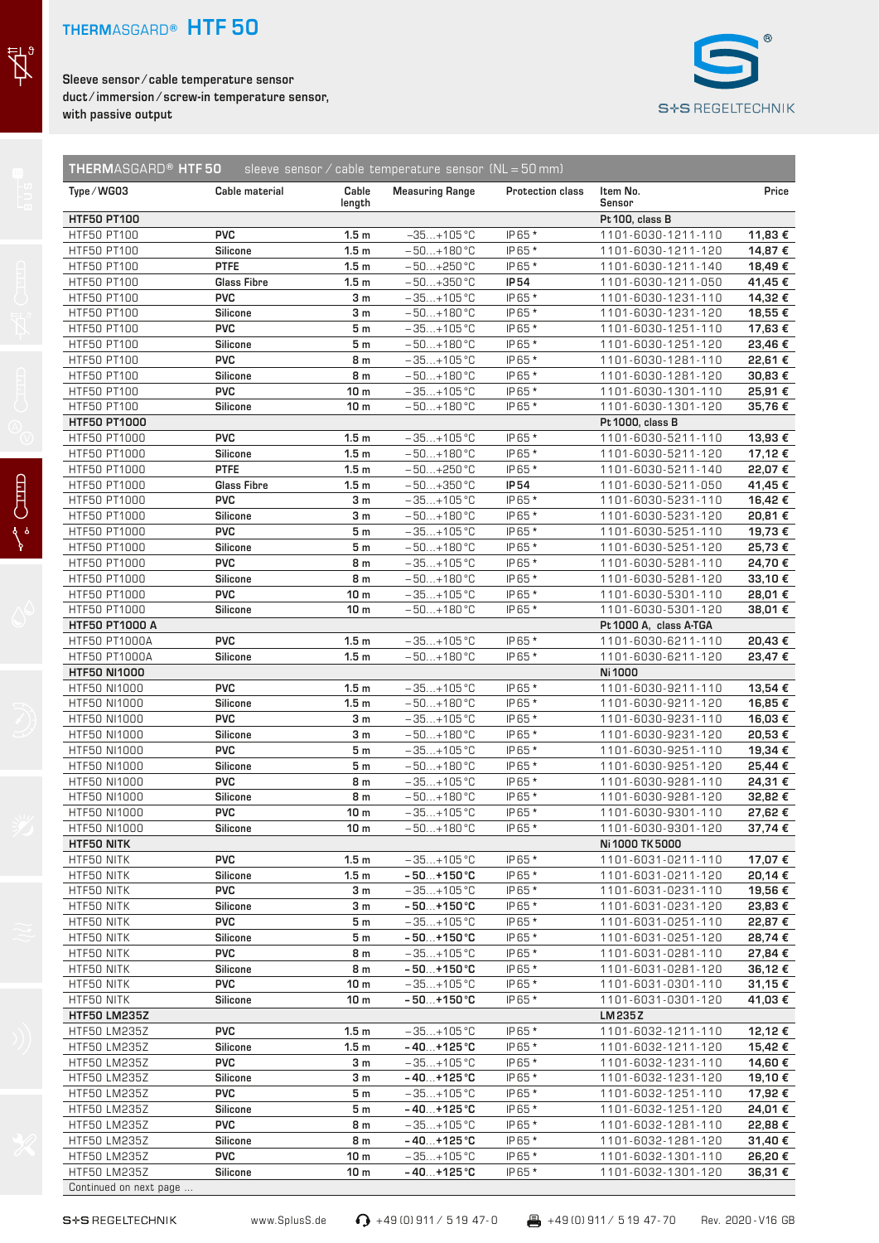## **THERM**ASGARD**® HTF 50**

 $\vec{z}$ 

 $\begin{bmatrix} 1 \\ 0 \end{bmatrix}$ 

**Sleeve sensor ⁄ cable temperature sensor duct ⁄ immersion ⁄ screw-in temperature sensor, with passive output**



| Type/WG03                    | Cable material     | Cable<br>length                      | <b>Measuring Range</b>             | Protection class | Item No.<br>Sensor                       | Price              |
|------------------------------|--------------------|--------------------------------------|------------------------------------|------------------|------------------------------------------|--------------------|
| <b>HTF50 PT100</b>           |                    |                                      |                                    |                  | Pt 100, class B                          |                    |
| HTF50 PT100                  | <b>PVC</b>         | 1.5 <sub>m</sub>                     | $-35+105$ °C                       | IP65 *           | 1101-6030-1211-110                       | 11,83 €            |
| HTF50 PT100                  | <b>Silicone</b>    | 1.5 <sub>m</sub>                     | $-50+180$ °C                       | IP65 *           | 1101-6030-1211-120                       | 14,87 €            |
| HTF50 PT100                  | <b>PTFE</b>        | 1.5 <sub>m</sub>                     | $-50+250$ °C                       | IP65 *           | 1101-6030-1211-140                       | 18,49€             |
| HTF50 PT100                  | <b>Glass Fibre</b> | 1.5 <sub>m</sub>                     | $-50+350$ °C                       | IP 54            | 1101-6030-1211-050                       | 41,45€             |
| HTF50 PT100                  | <b>PVC</b>         | 3 <sub>m</sub>                       | $-35+105$ °C                       | IP65 *           | 1101-6030-1231-110                       | 14,32€             |
| HTF50 PT100                  | <b>Silicone</b>    | 3 <sub>m</sub>                       | $-50+180$ °C                       | IP65 *           | 1101-6030-1231-120                       | 18,55 €            |
| HTF50 PT100                  | <b>PVC</b>         | 5 <sub>m</sub>                       | $-35+105$ °C                       | IP65 *           | 1101-6030-1251-110                       | 17,63 €            |
| HTF50 PT100                  | <b>Silicone</b>    | 5 <sub>m</sub>                       | $-50+180$ °C                       | IP65 *           | 1101-6030-1251-120                       | 23,46€             |
| HTF50 PT100                  | <b>PVC</b>         | 8 m                                  | $-35+105$ °C                       | IP65 *           | 1101-6030-1281-110                       | 22,61€             |
| HTF50 PT100                  | <b>Silicone</b>    | 8 m                                  | $-50+180$ °C                       | IP65 *           | 1101-6030-1281-120                       | 30,83€             |
| HTF50 PT100                  | <b>PVC</b>         | 10 <sub>m</sub>                      | $-35+105$ °C                       | IP65 *           | 1101-6030-1301-110                       | 25,91€             |
| <b>HTF50 PT100</b>           | Silicone           | 10 <sub>m</sub>                      | $-50+180$ °C                       | IP65 *           | 1101-6030-1301-120                       | 35,76€             |
| <b>HTF50 PT1000</b>          | <b>PVC</b>         |                                      |                                    |                  | Pt 1000, class B                         |                    |
| HTF50 PT1000                 | <b>Silicone</b>    | 1.5 <sub>m</sub><br>1.5 <sub>m</sub> | $-35+105$ °C<br>$-50+180$ °C       | IP65 *<br>IP65 * | 1101-6030-5211-110<br>1101-6030-5211-120 | 13,93€<br>17,12€   |
| HTF50 PT1000<br>HTF50 PT1000 | <b>PTFE</b>        | 1.5 <sub>m</sub>                     | $-50+250$ °C                       | IP65 *           | 1101-6030-5211-140                       | 22,07€             |
| HTF50 PT1000                 | <b>Glass Fibre</b> | 1.5 <sub>m</sub>                     | $-50+350$ °C                       | IP 54            | 1101-6030-5211-050                       | 41,45 €            |
| HTF50 PT1000                 | <b>PVC</b>         | 3m                                   | $-35+105$ °C                       | IP65 *           | 1101-6030-5231-110                       | 16,42€             |
| HTF50 PT1000                 | <b>Silicone</b>    | 3 <sub>m</sub>                       | $-50+180$ °C                       | IP65 *           | 1101-6030-5231-120                       | 20,81€             |
| HTF50 PT1000                 | <b>PVC</b>         | 5 m                                  | $-35+105$ °C                       | IP65 *           | 1101-6030-5251-110                       | 19,73€             |
| HTF50 PT1000                 | Silicone           | 5 <sub>m</sub>                       | $-50+180$ °C                       | IP65 *           | 1101-6030-5251-120                       | 25,73€             |
| HTF50 PT1000                 | <b>PVC</b>         | 8 m                                  | $-35+105$ °C                       | IP65 *           | 1101-6030-5281-110                       | 24,70€             |
| HTF50 PT1000                 | <b>Silicone</b>    | 8 m                                  | $-50+180$ °C                       | IP65 *           | 1101-6030-5281-120                       | 33,10€             |
| HTF50 PT1000                 | <b>PVC</b>         | 10 <sub>m</sub>                      | $-35+105$ °C                       | IP65 *           | 1101-6030-5301-110                       | 28,01€             |
| HTF50 PT1000                 | <b>Silicone</b>    | 10 <sub>m</sub>                      | $-50+180$ °C                       | IP65 *           | 1101-6030-5301-120                       | 38,01 €            |
| <b>HTF50 PT1000 A</b>        |                    |                                      |                                    |                  | Pt 1000 A, class A-TGA                   |                    |
| <b>HTF50 PT1000A</b>         | <b>PVC</b>         | 1.5 <sub>m</sub>                     | $-35+105$ °C                       | IP65 *           | 1101-6030-6211-110                       | 20,43 €            |
| <b>HTF50 PT1000A</b>         | <b>Silicone</b>    | 1.5 <sub>m</sub>                     | $-50+180$ °C                       | IP65 *           | 1101-6030-6211-120                       | 23,47€             |
| <b>HTF50 NI1000</b>          |                    |                                      |                                    |                  | Ni 1000                                  |                    |
| HTF50 NI1000                 | <b>PVC</b>         | 1.5 <sub>m</sub>                     | $-35+105$ °C                       | IP65 *           | 1101-6030-9211-110                       | 13,54 €            |
| HTF50 NI1000                 | <b>Silicone</b>    | 1.5 <sub>m</sub>                     | $-50+180$ °C                       | IP65 *           | 1101-6030-9211-120                       | 16,85 €            |
| HTF50 NI1000                 | <b>PVC</b>         | 3 <sub>m</sub>                       | $-35+105$ °C                       | IP65 *           | 1101-6030-9231-110                       | 16,03€             |
| <b>HTF50 NI1000</b>          | Silicone           | 3 m                                  | $-50+180$ °C                       | IP65 *           | 1101-6030-9231-120                       | 20,53€             |
| HTF50 NI1000                 | <b>PVC</b>         | 5m                                   | $-35+105$ °C                       | IP65 *           | 1101-6030-9251-110                       | 19,34 €            |
| HTF50 NI1000                 | <b>Silicone</b>    | 5 <sub>m</sub>                       | $-50+180 °C$                       | IP65 *           | 1101-6030-9251-120                       | 25,44 €            |
| HTF50 NI1000                 | <b>PVC</b>         | 8 m                                  | $-35+105$ °C                       | IP65 *           | 1101-6030-9281-110                       | 24,31€             |
| HTF50 NI1000                 | Silicone           | 8 m                                  | $-50+180 °C$                       | IP65 *           | 1101-6030-9281-120                       | 32,82€             |
| HTF50 NI1000                 | <b>PVC</b>         | 10 <sub>m</sub>                      | $-35+105$ °C                       | IP65 *           | 1101-6030-9301-110                       | 27,62€             |
| HTF50 NI1000                 | <b>Silicone</b>    | 10 <sub>m</sub>                      | $-50+180$ °C                       | IP65 *           | 1101-6030-9301-120<br>Ni 1000 TK 5000    | 37,74 €            |
| <b>HTF50 NITK</b>            | <b>PVC</b>         |                                      |                                    |                  |                                          |                    |
| HTF50 NITK<br>HTF50 NITK     | Silicone           | 1.5 <sub>m</sub><br>1.5 <sub>m</sub> | $-35+105$ °C<br>$-50+150^{\circ}C$ | IP65 *<br>IP65 * | 1101-6031-0211-110<br>1101-6031-0211-120 | 17,07 €<br>20,14 € |
| HTF50 NITK                   | <b>PVC</b>         | 3 <sub>m</sub>                       | $-35+105$ °C                       | IP65 *           | 1101-6031-0231-110                       | 19,56 €            |
| HTF50 NITK                   | Silicone           | 3 m                                  | $-50+150^{\circ}C$                 | IP65 *           | 1101-6031-0231-120                       | 23,83 €            |
| HTF50 NITK                   | <b>PVC</b>         | 5 m                                  | $-35+105$ °C                       | IP65 *           | 1101-6031-0251-110                       | 22,87 €            |
| HTF50 NITK                   | Silicone           | 5 m                                  | $-50+150^{\circ}C$                 | IP65 *           | 1101-6031-0251-120                       | 28,74 €            |
| HTF50 NITK                   | <b>PVC</b>         | 8 m                                  | $-35+105$ °C                       | IP65 *           | 1101-6031-0281-110                       | 27,84 €            |
| HTF50 NITK                   | <b>Silicone</b>    | 8 m                                  | $-50+150^{\circ}C$                 | IP65 *           | 1101-6031-0281-120                       | 36,12€             |
| HTF50 NITK                   | <b>PVC</b>         | 10 <sub>m</sub>                      | $-35+105$ °C                       | IP65 *           | 1101-6031-0301-110                       | 31,15 €            |
| HTF50 NITK                   | Silicone           | 10 <sub>m</sub>                      | $-50+150^{\circ}C$                 | IP65 *           | 1101-6031-0301-120                       | 41,03 €            |
| <b>HTF50 LM235Z</b>          |                    |                                      |                                    |                  | LM 235 Z                                 |                    |
| <b>HTF50 LM235Z</b>          | <b>PVC</b>         | 1.5 <sub>m</sub>                     | $-35+105$ °C                       | IP65 *           | 1101-6032-1211-110                       | 12,12 €            |
| <b>HTF50 LM235Z</b>          | <b>Silicone</b>    | 1.5 <sub>m</sub>                     | $-40+125$ °C                       | IP65 *           | 1101-6032-1211-120                       | 15,42 €            |
| <b>HTF50 LM235Z</b>          | <b>PVC</b>         | 3 m                                  | $-35+105$ °C                       | IP65 *           | 1101-6032-1231-110                       | 14,60 €            |
| HTF50 LM235Z                 | Silicone           | 3 m                                  | $-40+125$ °C                       | IP65 *           | 1101-6032-1231-120                       | 19,10 €            |
| HTF50 LM235Z                 | <b>PVC</b>         | 5 m                                  | $-35+105$ °C                       | IP65 *           | 1101-6032-1251-110                       | 17,92€             |
| <b>HTF50 LM235Z</b>          | Silicone           | 5 m                                  | $-40+125$ °C                       | IP65 *           | 1101-6032-1251-120                       | 24,01€             |
| <b>HTF50 LM235Z</b>          | <b>PVC</b>         | 8 m                                  | $-35+105$ °C                       | IP65 *           | 1101-6032-1281-110                       | 22,88 €            |
| HTF50 LM235Z                 | Silicone           | 8 m                                  | $-40+125$ °C                       | IP65 *           | 1101-6032-1281-120                       | 31,40 €            |
| HTF50 LM235Z                 | <b>PVC</b>         | 10 <sub>m</sub>                      | $-35+105$ °C                       | IP65 *           | 1101-6032-1301-110                       | 26,20 €            |
|                              |                    |                                      | $-40+125$ °C                       | IP65 *           |                                          |                    |

S<sup>+</sup>S REGELTECHNIK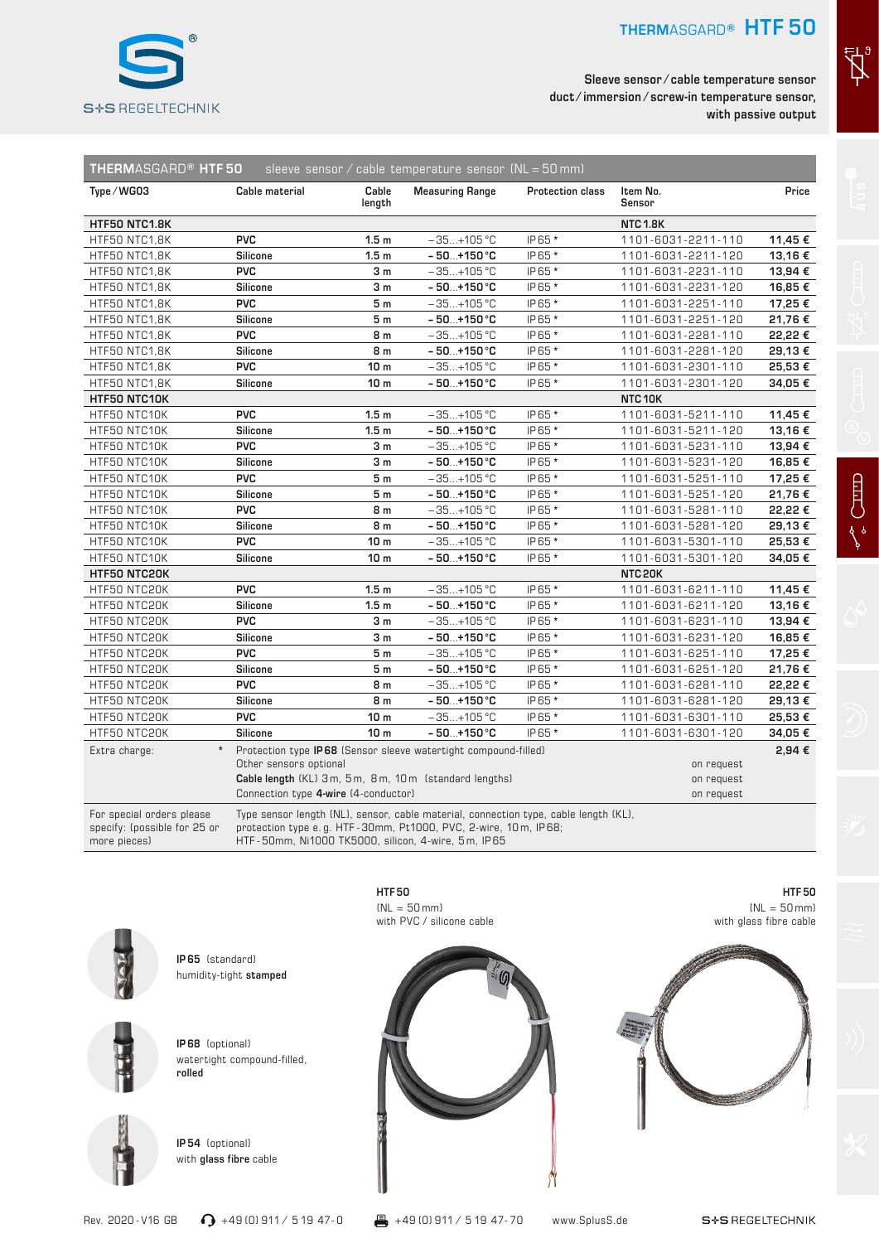

**Sleeve sensor ⁄ cable temperature sensor duct ⁄ immersion ⁄ screw-in temperature sensor, with passive output**

| <b>THERMASGARD® HTF50</b><br>sleeve sensor / cable temperature sensor $(NL = 50$ mm) |                                                                                                                                                   |                  |                                                                                                                                                                                                              |                  |                          |         |  |
|--------------------------------------------------------------------------------------|---------------------------------------------------------------------------------------------------------------------------------------------------|------------------|--------------------------------------------------------------------------------------------------------------------------------------------------------------------------------------------------------------|------------------|--------------------------|---------|--|
| Type/WG03                                                                            | Cable material                                                                                                                                    | Cable<br>length  | <b>Measuring Range</b>                                                                                                                                                                                       | Protection class | Item No.<br>Sensor       | Price   |  |
| HTF50 NTC1.8K                                                                        |                                                                                                                                                   |                  |                                                                                                                                                                                                              |                  | <b>NTC 1.8K</b>          |         |  |
| HTF50 NTC1,8K                                                                        | <b>PVC</b>                                                                                                                                        | 1.5 <sub>m</sub> | $-35+105$ °C                                                                                                                                                                                                 | IP65 *           | 1101-6031-2211-110       | 11,45 € |  |
| HTF50 NTC1,8K                                                                        | <b>Silicone</b>                                                                                                                                   | 1.5 <sub>m</sub> | $-50+150^{\circ}C$                                                                                                                                                                                           | IP65 *           | 1101-6031-2211-120       | 13,16€  |  |
| HTF50 NTC1,8K                                                                        | <b>PVC</b>                                                                                                                                        | 3 <sub>m</sub>   | $-35+105$ °C                                                                                                                                                                                                 | IP65 *           | 1101-6031-2231-110       | 13,94 € |  |
| HTF50 NTC1,8K                                                                        | <b>Silicone</b>                                                                                                                                   | 3 m              | $-50+150^{\circ}C$                                                                                                                                                                                           | IP65 *           | 1101-6031-2231-120       | 16,85€  |  |
| HTF50 NTC1,8K                                                                        | <b>PVC</b>                                                                                                                                        | 5m               | $-35+105$ °C                                                                                                                                                                                                 | IP65 *           | 1101-6031-2251-110       | 17,25€  |  |
| HTF50 NTC1,8K                                                                        | Silicone                                                                                                                                          | 5m               | $-50+150^{\circ}C$                                                                                                                                                                                           | IP65 *           | 1101-6031-2251-120       | 21,76€  |  |
| HTF50 NTC1,8K                                                                        | <b>PVC</b>                                                                                                                                        | 8 m              | $-35+105$ °C                                                                                                                                                                                                 | IP65 *           | 1101-6031-2281-110       | 22,22 € |  |
| HTF50 NTC1,8K                                                                        | <b>Silicone</b>                                                                                                                                   | 8 m              | $-50+150^{\circ}C$                                                                                                                                                                                           | IP65 *           | 1101-6031-2281-120       | 29,13€  |  |
| HTF50 NTC1,8K                                                                        | <b>PVC</b>                                                                                                                                        | 10 <sub>m</sub>  | $-35+105$ °C                                                                                                                                                                                                 | IP65 *           | 1101-6031-2301-110       | 25,53€  |  |
| HTF50 NTC1,8K                                                                        | <b>Silicone</b>                                                                                                                                   | 10 <sub>m</sub>  | - 50…+150 °C                                                                                                                                                                                                 | IP65 *           | 1101-6031-2301-120       | 34,05€  |  |
| HTF50 NTC10K                                                                         |                                                                                                                                                   |                  |                                                                                                                                                                                                              |                  | NTC 10K                  |         |  |
| HTF50 NTC10K                                                                         | <b>PVC</b>                                                                                                                                        | 1.5 <sub>m</sub> | $-35+105$ °C                                                                                                                                                                                                 | IP65 *           | 1101-6031-5211-110       | 11,45 € |  |
| HTF50 NTC10K                                                                         | <b>Silicone</b>                                                                                                                                   | 1.5 <sub>m</sub> | $-50+150^{\circ}C$                                                                                                                                                                                           | IP65 *           | 1101-6031-5211-120       | 13,16€  |  |
| HTF50 NTC10K                                                                         | <b>PVC</b>                                                                                                                                        | 3 <sub>m</sub>   | $-35+105$ °C                                                                                                                                                                                                 | IP65 *           | 1101-6031-5231-110       | 13,94€  |  |
| HTF50 NTC10K                                                                         | Silicone                                                                                                                                          | 3 <sub>m</sub>   | $-50+150^{\circ}C$                                                                                                                                                                                           | IP65 *           | 1101-6031-5231-120       | 16,85€  |  |
| HTF50 NTC10K                                                                         | <b>PVC</b>                                                                                                                                        | 5 m              | $-35+105$ °C                                                                                                                                                                                                 | IP65 *           | 1101-6031-5251-110       | 17,25€  |  |
| HTF50 NTC10K                                                                         | <b>Silicone</b>                                                                                                                                   | 5 <sub>m</sub>   | $-50+150^{\circ}C$                                                                                                                                                                                           | IP65 *           | 1101-6031-5251-120       | 21,76€  |  |
| HTF50 NTC10K                                                                         | <b>PVC</b>                                                                                                                                        | 8 m              | $-35+105$ °C                                                                                                                                                                                                 | IP65 *           | 1101-6031-5281-110       | 22,22 € |  |
| HTF50 NTC10K                                                                         | <b>Silicone</b>                                                                                                                                   | 8 m              | $-50+150^{\circ}C$                                                                                                                                                                                           | IP65 *           | 1101-6031-5281-120       | 29,13€  |  |
| HTF50 NTC10K                                                                         | <b>PVC</b>                                                                                                                                        | 10 <sub>m</sub>  | $-35+105$ °C                                                                                                                                                                                                 | IP65 *           | 1101-6031-5301-110       | 25,53€  |  |
| HTF50 NTC10K                                                                         | Silicone                                                                                                                                          | 10 <sub>m</sub>  | $-50+150^{\circ}C$                                                                                                                                                                                           | IP65 *           | 1101-6031-5301-120       | 34,05€  |  |
| HTF50 NTC20K                                                                         |                                                                                                                                                   |                  |                                                                                                                                                                                                              |                  | NTC 20K                  |         |  |
| HTF50 NTC20K                                                                         | <b>PVC</b>                                                                                                                                        | 1.5 <sub>m</sub> | $-35+105$ °C                                                                                                                                                                                                 | IP65 *           | 1101-6031-6211-110       | 11,45 € |  |
| HTF50 NTC20K                                                                         | <b>Silicone</b>                                                                                                                                   | 1.5 <sub>m</sub> | $-50+150^{\circ}C$                                                                                                                                                                                           | IP65 *           | 1101-6031-6211-120       | 13,16€  |  |
| HTF50 NTC20K                                                                         | <b>PVC</b>                                                                                                                                        | 3 <sub>m</sub>   | $-35+105$ °C                                                                                                                                                                                                 | IP65 *           | 1101-6031-6231-110       | 13,94 € |  |
| HTF50 NTC20K                                                                         | <b>Silicone</b>                                                                                                                                   | 3 m              | $-50+150^{\circ}C$                                                                                                                                                                                           | IP65 *           | 1101-6031-6231-120       | 16,85€  |  |
| HTF50 NTC20K                                                                         | <b>PVC</b>                                                                                                                                        | 5 <sub>m</sub>   | $-35+105$ °C                                                                                                                                                                                                 | IP65 *           | 1101-6031-6251-110       | 17,25€  |  |
| HTF50 NTC20K                                                                         | Silicone                                                                                                                                          | 5 <sub>m</sub>   | $-50+150^{\circ}C$                                                                                                                                                                                           | IP65 *           | 1101-6031-6251-120       | 21,76€  |  |
| HTF50 NTC20K                                                                         | <b>PVC</b>                                                                                                                                        | 8 m              | $-35+105$ °C                                                                                                                                                                                                 | IP65 *           | 1101-6031-6281-110       | 22,22€  |  |
| HTF50 NTC20K                                                                         | <b>Silicone</b>                                                                                                                                   | 8 m              | $-50+150^{\circ}C$                                                                                                                                                                                           | IP65 *           | 1101-6031-6281-120       | 29,13€  |  |
| HTF50 NTC20K                                                                         | <b>PVC</b>                                                                                                                                        | 10 <sub>m</sub>  | $-35+105$ °C                                                                                                                                                                                                 | IP65 *           | 1101-6031-6301-110       | 25,53€  |  |
| HTF50 NTC20K                                                                         | Silicone                                                                                                                                          | 10 <sub>m</sub>  | $-50+150 °C$                                                                                                                                                                                                 | IP65 *           | 1101-6031-6301-120       | 34,05€  |  |
| Extra charge:                                                                        | Protection type IP68 (Sensor sleeve watertight compound-filled)<br>Other sensors optional<br>Cable length (KL) 3m, 5m, 8m, 10m (standard lengths) |                  |                                                                                                                                                                                                              | on request       | 2,94€                    |         |  |
|                                                                                      | Connection type 4-wire (4-conductor)                                                                                                              |                  |                                                                                                                                                                                                              |                  | on request<br>on request |         |  |
| For special orders please<br>specify: (possible for 25 or<br>more pieces)            |                                                                                                                                                   |                  | Type sensor length (NL), sensor, cable material, connection type, cable length (KL),<br>protection type e.g. HTF-30mm, Pt1000, PVC, 2-wire, 10m, IP68;<br>HTF-50mm, Ni1000 TK5000, silicon, 4-wire, 5m, IP65 |                  |                          |         |  |



**IP 65** (standard) humidity-tight **stamped**



**IP 68** (optional) watertight compound-filled, **rolled**

**IP 54** (optional) with **glass fibre** cable



**HTF 50** 



 $\sum_{i=1}^{n}$ 

**HTF 50**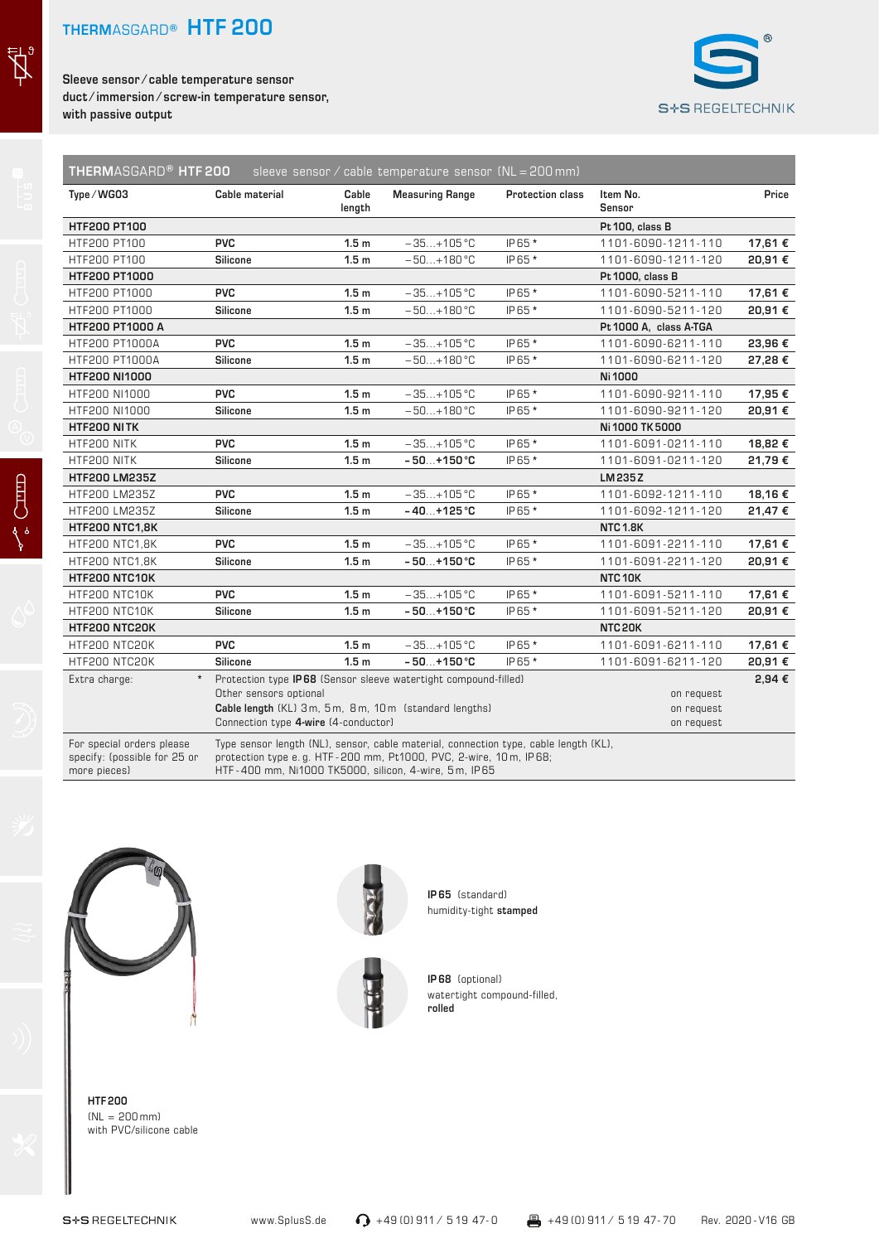$\vec{A}$ 

月

**Sleeve sensor ⁄ cable temperature sensor duct ⁄ immersion ⁄ screw-in temperature sensor, with passive output**



|                       |                                                                | length           | <b>Measuring Range</b>                                                                                                  |        | Sensor                                 | Price   |
|-----------------------|----------------------------------------------------------------|------------------|-------------------------------------------------------------------------------------------------------------------------|--------|----------------------------------------|---------|
| <b>HTF200 PT100</b>   |                                                                |                  |                                                                                                                         |        | Pt 100, class B                        |         |
| HTF200 PT100          | <b>PVC</b>                                                     | 1.5 <sub>m</sub> | $-35+105$ °C                                                                                                            | IP65 * | 1101-6090-1211-110                     | 17,61 € |
| HTF200 PT100          | <b>Silicone</b>                                                | 1.5 <sub>m</sub> | $-50+180$ °C                                                                                                            | IP65 * | 1101-6090-1211-120                     | 20,91€  |
| HTF200 PT1000         |                                                                |                  |                                                                                                                         |        | Pt 1000, class B                       |         |
| HTF200 PT1000         | <b>PVC</b>                                                     | 1.5 <sub>m</sub> | $-35+105$ °C                                                                                                            | IP65 * | 1101-6090-5211-110                     | 17,61 € |
| HTF200 PT1000         | Silicone                                                       | 1.5 <sub>m</sub> | $-50+180$ °C                                                                                                            | IP65 * | 1101-6090-5211-120                     | 20,91€  |
| HTF200 PT1000 A       |                                                                |                  |                                                                                                                         |        | Pt 1000 A, class A-TGA                 |         |
| HTF200 PT1000A        | <b>PVC</b>                                                     | 1.5 <sub>m</sub> | $-35+105$ °C                                                                                                            | IP65 * | 1101-6090-6211-110                     | 23,96€  |
| HTF200 PT1000A        | Silicone                                                       | 1.5 <sub>m</sub> | $-50+180$ °C                                                                                                            | IP65 * | 1101-6090-6211-120                     | 27,28€  |
| <b>HTF200 NI1000</b>  |                                                                |                  |                                                                                                                         |        | Ni 1000                                |         |
| HTF200 NI1000         | <b>PVC</b>                                                     | 1.5 <sub>m</sub> | $-35+105$ °C                                                                                                            | IP65 * | 1101-6090-9211-110                     | 17,95€  |
| HTF200 NI1000         | Silicone                                                       | 1.5 <sub>m</sub> | $-50+180$ °C                                                                                                            | IP65 * | 1101-6090-9211-120                     | 20,91€  |
| HTF200 NITK           |                                                                |                  |                                                                                                                         |        | Ni 1000 TK 5000                        |         |
| HTF200 NITK           | <b>PVC</b>                                                     | 1.5 <sub>m</sub> | $-35+105$ °C                                                                                                            | IP65 * | 1101-6091-0211-110                     | 18,82€  |
| HTF200 NITK           | <b>Silicone</b>                                                | 1.5 <sub>m</sub> | $-50+150^{\circ}C$                                                                                                      | IP65 * | 1101-6091-0211-120                     | 21,79€  |
| HTF200 LM235Z         |                                                                |                  |                                                                                                                         |        | LM 235 Z                               |         |
| HTF200 LM235Z         | <b>PVC</b>                                                     | 1.5 <sub>m</sub> | $-35+105$ °C                                                                                                            | IP65 * | 1101-6092-1211-110                     | 18,16€  |
| HTF200 LM235Z         | Silicone                                                       | 1.5 <sub>m</sub> | $-40+125$ °C                                                                                                            | IP65 * | 1101-6092-1211-120                     | 21,47€  |
| <b>HTF200 NTC1,8K</b> |                                                                |                  |                                                                                                                         |        | <b>NTC 1.8K</b>                        |         |
| <b>HTF200 NTC1,8K</b> | <b>PVC</b>                                                     | 1.5 <sub>m</sub> | $-35+105$ °C                                                                                                            | IP65 * | 1101-6091-2211-110                     | 17,61 € |
| HTF200 NTC1,8K        | Silicone                                                       | 1.5 <sub>m</sub> | $-50+150^{\circ}C$                                                                                                      | IP65 * | 1101-6091-2211-120                     | 20,91€  |
| <b>HTF200 NTC10K</b>  |                                                                |                  |                                                                                                                         |        | NTC <sub>10K</sub>                     |         |
| HTF200 NTC10K         | <b>PVC</b>                                                     | 1.5 <sub>m</sub> | $-35+105$ °C                                                                                                            | IP65 * | 1101-6091-5211-110                     | 17,61 € |
| HTF200 NTC10K         | Silicone                                                       | 1.5 <sub>m</sub> | $-50+150^{\circ}C$                                                                                                      | IP65 * | 1101-6091-5211-120                     | 20.91€  |
| HTF200 NTC20K         |                                                                |                  |                                                                                                                         |        | NTC <sub>20K</sub>                     |         |
| HTF200 NTC20K         | <b>PVC</b>                                                     | 1.5 <sub>m</sub> | $-35+105$ °C                                                                                                            | IP65 * | 1101-6091-6211-110                     | 17,61 € |
| HTF200 NTC20K         | <b>Silicone</b>                                                | 1.5 <sub>m</sub> | $-50+150^{\circ}C$                                                                                                      | IP65 * | 1101-6091-6211-120                     | 20,91€  |
| Extra charge:         | Other sensors optional<br>Connection type 4-wire (4-conductor) |                  | Protection type IP68 (Sensor sleeve watertight compound-filled)<br>Cable length (KL) 3m, 5m, 8m, 10m (standard lengths) |        | on request<br>on request<br>on request | 2,94€   |





**IP 65** (standard) humidity-tight **stamped**

**IP 68** (optional) watertight compound-filled, **rolled**

**HTF 200**   $(NL = 200 \, \text{mm})$ with PVC/silicone cable

www.SplusS.de ● →49 (0) 911 / 5 19 47- 0 +49 (0) 911 / 5 19 47- 70 Rev. 2020 - V16 GB